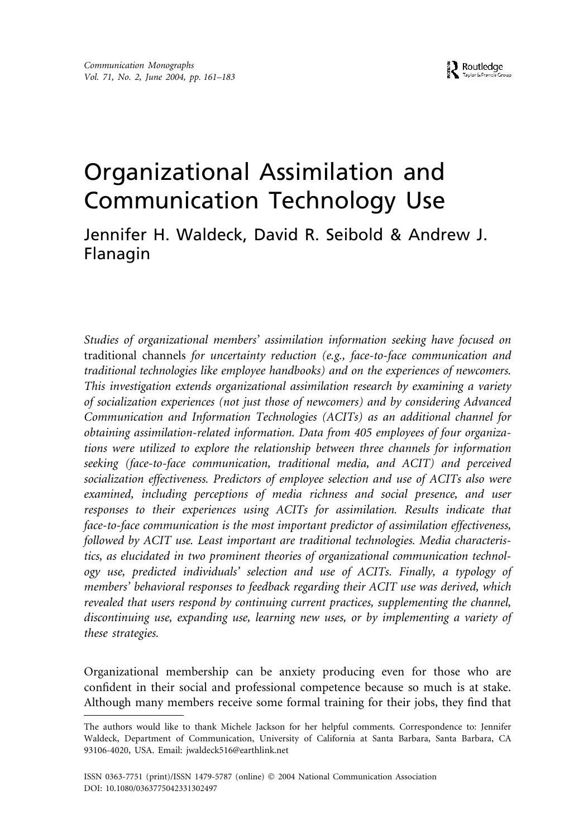# Organizational Assimilation and Communication Technology Use

# Jennifer H. Waldeck, David R. Seibold & Andrew J. Flanagin

*Studies of organizational members' assimilation information seeking have focused on* traditional channels *for uncertainty reduction (e.g., face-to-face communication and traditional technologies like employee handbooks) and on the experiences of newcomers. This investigation extends organizational assimilation research by examining a variety of socialization experiences (not just those of newcomers) and by considering Advanced Communication and Information Technologies (ACITs) as an additional channel for obtaining assimilation-related information. Data from 405 employees of four organizations were utilized to explore the relationship between three channels for information seeking (face-to-face communication, traditional media, and ACIT) and perceived socialization effectiveness. Predictors of employee selection and use of ACITs also were examined, including perceptions of media richness and social presence, and user responses to their experiences using ACITs for assimilation. Results indicate that face-to-face communication is the most important predictor of assimilation effectiveness, followed by ACIT use. Least important are traditional technologies. Media characteristics, as elucidated in two prominent theories of organizational communication technology use, predicted individuals' selection and use of ACITs. Finally, a typology of members' behavioral responses to feedback regarding their ACIT use was derived, which revealed that users respond by continuing current practices, supplementing the channel, discontinuing use, expanding use, learning new uses, or by implementing a variety of these strategies.*

Organizational membership can be anxiety producing even for those who are confident in their social and professional competence because so much is at stake. Although many members receive some formal training for their jobs, they find that

The authors would like to thank Michele Jackson for her helpful comments. Correspondence to: Jennifer Waldeck, Department of Communication, University of California at Santa Barbara, Santa Barbara, CA 93106-4020, USA. Email: jwaldeck516@earthlink.net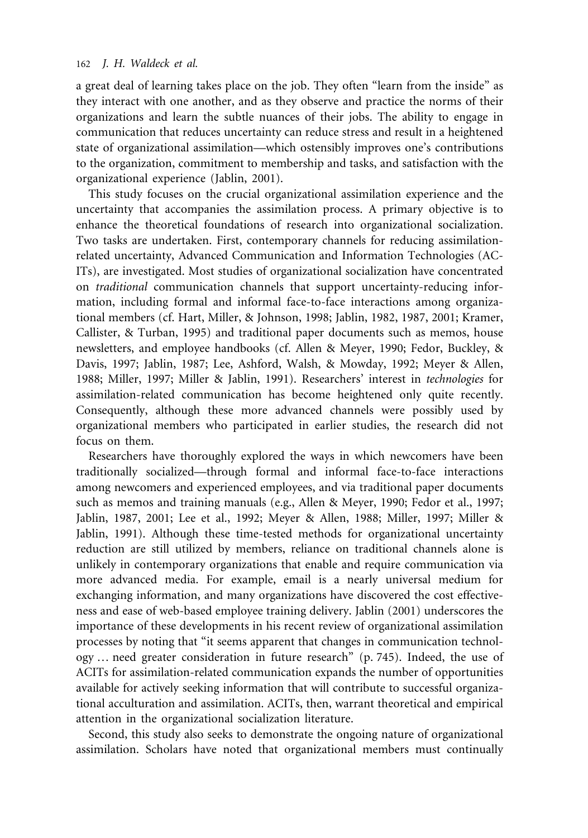a great deal of learning takes place on the job. They often "learn from the inside" as they interact with one another, and as they observe and practice the norms of their organizations and learn the subtle nuances of their jobs. The ability to engage in communication that reduces uncertainty can reduce stress and result in a heightened state of organizational assimilation—which ostensibly improves one's contributions to the organization, commitment to membership and tasks, and satisfaction with the organizational experience (Jablin, 2001).

This study focuses on the crucial organizational assimilation experience and the uncertainty that accompanies the assimilation process. A primary objective is to enhance the theoretical foundations of research into organizational socialization. Two tasks are undertaken. First, contemporary channels for reducing assimilationrelated uncertainty, Advanced Communication and Information Technologies (AC-ITs), are investigated. Most studies of organizational socialization have concentrated on *traditional* communication channels that support uncertainty-reducing information, including formal and informal face-to-face interactions among organizational members (cf. Hart, Miller, & Johnson, 1998; Jablin, 1982, 1987, 2001; Kramer, Callister, & Turban, 1995) and traditional paper documents such as memos, house newsletters, and employee handbooks (cf. Allen & Meyer, 1990; Fedor, Buckley, & Davis, 1997; Jablin, 1987; Lee, Ashford, Walsh, & Mowday, 1992; Meyer & Allen, 1988; Miller, 1997; Miller & Jablin, 1991). Researchers' interest in *technologies* for assimilation-related communication has become heightened only quite recently. Consequently, although these more advanced channels were possibly used by organizational members who participated in earlier studies, the research did not focus on them.

Researchers have thoroughly explored the ways in which newcomers have been traditionally socialized—through formal and informal face-to-face interactions among newcomers and experienced employees, and via traditional paper documents such as memos and training manuals (e.g., Allen & Meyer, 1990; Fedor et al., 1997; Jablin, 1987, 2001; Lee et al., 1992; Meyer & Allen, 1988; Miller, 1997; Miller & Jablin, 1991). Although these time-tested methods for organizational uncertainty reduction are still utilized by members, reliance on traditional channels alone is unlikely in contemporary organizations that enable and require communication via more advanced media. For example, email is a nearly universal medium for exchanging information, and many organizations have discovered the cost effectiveness and ease of web-based employee training delivery. Jablin (2001) underscores the importance of these developments in his recent review of organizational assimilation processes by noting that "it seems apparent that changes in communication technology … need greater consideration in future research" (p. 745). Indeed, the use of ACITs for assimilation-related communication expands the number of opportunities available for actively seeking information that will contribute to successful organizational acculturation and assimilation. ACITs, then, warrant theoretical and empirical attention in the organizational socialization literature.

Second, this study also seeks to demonstrate the ongoing nature of organizational assimilation. Scholars have noted that organizational members must continually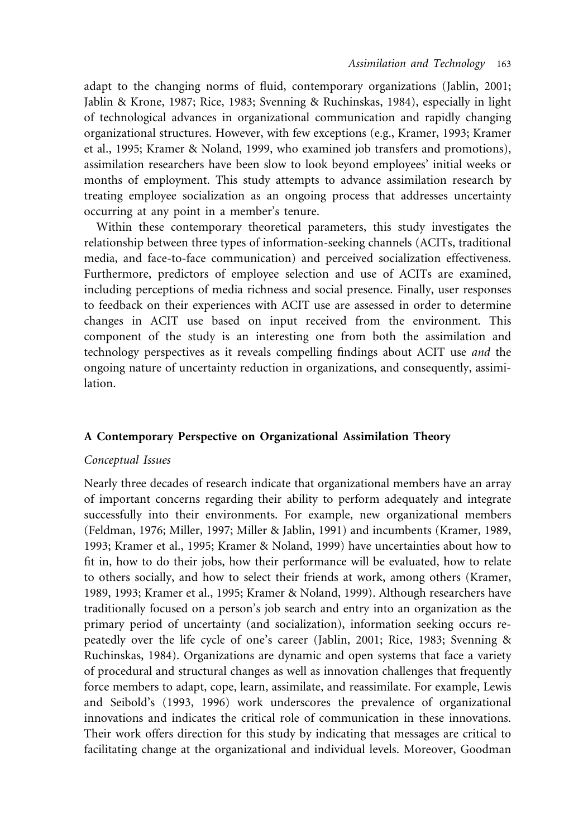adapt to the changing norms of fluid, contemporary organizations (Jablin, 2001; Jablin & Krone, 1987; Rice, 1983; Svenning & Ruchinskas, 1984), especially in light of technological advances in organizational communication and rapidly changing organizational structures. However, with few exceptions (e.g., Kramer, 1993; Kramer et al., 1995; Kramer & Noland, 1999, who examined job transfers and promotions), assimilation researchers have been slow to look beyond employees' initial weeks or months of employment. This study attempts to advance assimilation research by treating employee socialization as an ongoing process that addresses uncertainty occurring at any point in a member's tenure.

Within these contemporary theoretical parameters, this study investigates the relationship between three types of information-seeking channels (ACITs, traditional media, and face-to-face communication) and perceived socialization effectiveness. Furthermore, predictors of employee selection and use of ACITs are examined, including perceptions of media richness and social presence. Finally, user responses to feedback on their experiences with ACIT use are assessed in order to determine changes in ACIT use based on input received from the environment. This component of the study is an interesting one from both the assimilation and technology perspectives as it reveals compelling findings about ACIT use *and* the ongoing nature of uncertainty reduction in organizations, and consequently, assimilation.

# **A Contemporary Perspective on Organizational Assimilation Theory**

# *Conceptual Issues*

Nearly three decades of research indicate that organizational members have an array of important concerns regarding their ability to perform adequately and integrate successfully into their environments. For example, new organizational members (Feldman, 1976; Miller, 1997; Miller & Jablin, 1991) and incumbents (Kramer, 1989, 1993; Kramer et al., 1995; Kramer & Noland, 1999) have uncertainties about how to fit in, how to do their jobs, how their performance will be evaluated, how to relate to others socially, and how to select their friends at work, among others (Kramer, 1989, 1993; Kramer et al., 1995; Kramer & Noland, 1999). Although researchers have traditionally focused on a person's job search and entry into an organization as the primary period of uncertainty (and socialization), information seeking occurs repeatedly over the life cycle of one's career (Jablin, 2001; Rice, 1983; Svenning & Ruchinskas, 1984). Organizations are dynamic and open systems that face a variety of procedural and structural changes as well as innovation challenges that frequently force members to adapt, cope, learn, assimilate, and reassimilate. For example, Lewis and Seibold's (1993, 1996) work underscores the prevalence of organizational innovations and indicates the critical role of communication in these innovations. Their work offers direction for this study by indicating that messages are critical to facilitating change at the organizational and individual levels. Moreover, Goodman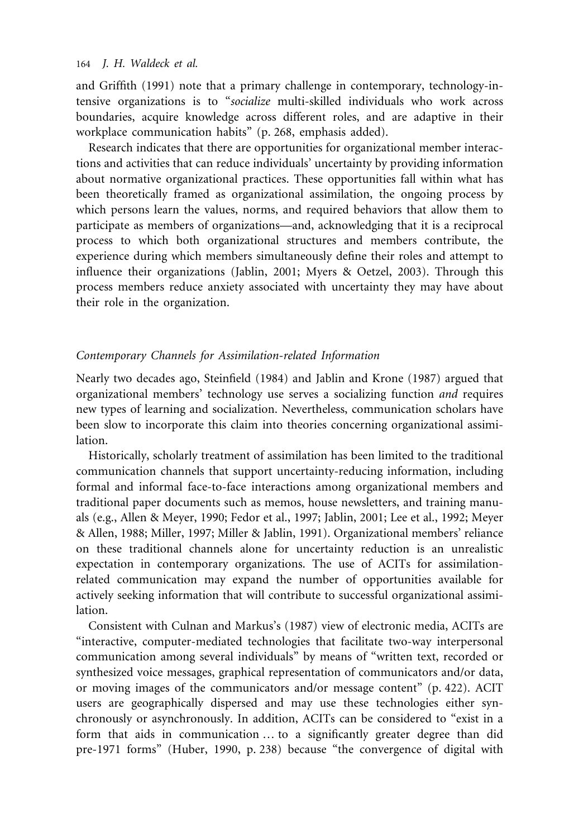and Griffith (1991) note that a primary challenge in contemporary, technology-intensive organizations is to "*socialize* multi-skilled individuals who work across boundaries, acquire knowledge across different roles, and are adaptive in their workplace communication habits" (p. 268, emphasis added).

Research indicates that there are opportunities for organizational member interactions and activities that can reduce individuals' uncertainty by providing information about normative organizational practices. These opportunities fall within what has been theoretically framed as organizational assimilation, the ongoing process by which persons learn the values, norms, and required behaviors that allow them to participate as members of organizations—and, acknowledging that it is a reciprocal process to which both organizational structures and members contribute, the experience during which members simultaneously define their roles and attempt to influence their organizations (Jablin, 2001; Myers & Oetzel, 2003). Through this process members reduce anxiety associated with uncertainty they may have about their role in the organization.

# *Contemporary Channels for Assimilation-related Information*

Nearly two decades ago, Steinfield (1984) and Jablin and Krone (1987) argued that organizational members' technology use serves a socializing function *and* requires new types of learning and socialization. Nevertheless, communication scholars have been slow to incorporate this claim into theories concerning organizational assimilation.

Historically, scholarly treatment of assimilation has been limited to the traditional communication channels that support uncertainty-reducing information, including formal and informal face-to-face interactions among organizational members and traditional paper documents such as memos, house newsletters, and training manuals (e.g., Allen & Meyer, 1990; Fedor et al., 1997; Jablin, 2001; Lee et al., 1992; Meyer & Allen, 1988; Miller, 1997; Miller & Jablin, 1991). Organizational members' reliance on these traditional channels alone for uncertainty reduction is an unrealistic expectation in contemporary organizations. The use of ACITs for assimilationrelated communication may expand the number of opportunities available for actively seeking information that will contribute to successful organizational assimilation.

Consistent with Culnan and Markus's (1987) view of electronic media, ACITs are "interactive, computer-mediated technologies that facilitate two-way interpersonal communication among several individuals" by means of "written text, recorded or synthesized voice messages, graphical representation of communicators and/or data, or moving images of the communicators and/or message content" (p. 422). ACIT users are geographically dispersed and may use these technologies either synchronously or asynchronously. In addition, ACITs can be considered to "exist in a form that aids in communication … to a significantly greater degree than did pre-1971 forms" (Huber, 1990, p. 238) because "the convergence of digital with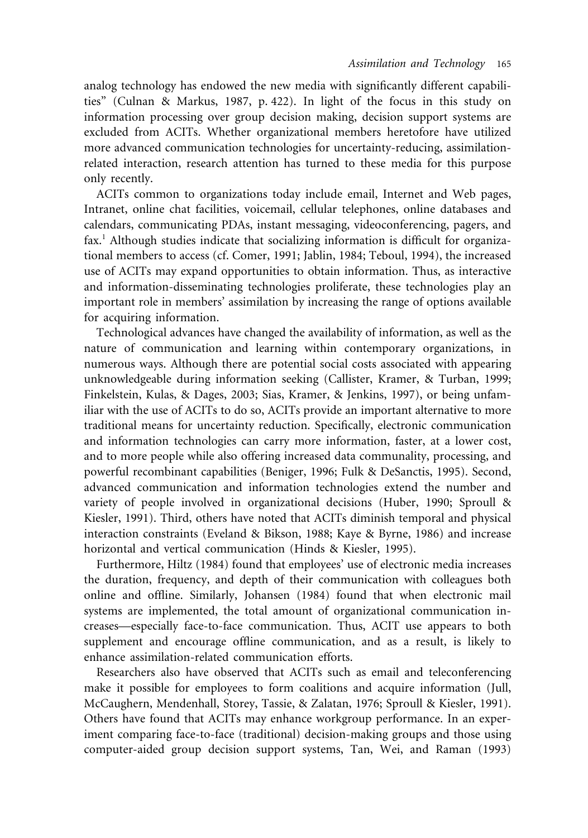analog technology has endowed the new media with significantly different capabilities" (Culnan & Markus, 1987, p. 422). In light of the focus in this study on information processing over group decision making, decision support systems are excluded from ACITs. Whether organizational members heretofore have utilized more advanced communication technologies for uncertainty-reducing, assimilationrelated interaction, research attention has turned to these media for this purpose only recently.

ACITs common to organizations today include email, Internet and Web pages, Intranet, online chat facilities, voicemail, cellular telephones, online databases and calendars, communicating PDAs, instant messaging, videoconferencing, pagers, and fax.1 Although studies indicate that socializing information is difficult for organizational members to access (cf. Comer, 1991; Jablin, 1984; Teboul, 1994), the increased use of ACITs may expand opportunities to obtain information. Thus, as interactive and information-disseminating technologies proliferate, these technologies play an important role in members' assimilation by increasing the range of options available for acquiring information.

Technological advances have changed the availability of information, as well as the nature of communication and learning within contemporary organizations, in numerous ways. Although there are potential social costs associated with appearing unknowledgeable during information seeking (Callister, Kramer, & Turban, 1999; Finkelstein, Kulas, & Dages, 2003; Sias, Kramer, & Jenkins, 1997), or being unfamiliar with the use of ACITs to do so, ACITs provide an important alternative to more traditional means for uncertainty reduction. Specifically, electronic communication and information technologies can carry more information, faster, at a lower cost, and to more people while also offering increased data communality, processing, and powerful recombinant capabilities (Beniger, 1996; Fulk & DeSanctis, 1995). Second, advanced communication and information technologies extend the number and variety of people involved in organizational decisions (Huber, 1990; Sproull & Kiesler, 1991). Third, others have noted that ACITs diminish temporal and physical interaction constraints (Eveland & Bikson, 1988; Kaye & Byrne, 1986) and increase horizontal and vertical communication (Hinds & Kiesler, 1995).

Furthermore, Hiltz (1984) found that employees' use of electronic media increases the duration, frequency, and depth of their communication with colleagues both online and offline. Similarly, Johansen (1984) found that when electronic mail systems are implemented, the total amount of organizational communication increases—especially face-to-face communication. Thus, ACIT use appears to both supplement and encourage offline communication, and as a result, is likely to enhance assimilation-related communication efforts.

Researchers also have observed that ACITs such as email and teleconferencing make it possible for employees to form coalitions and acquire information (Jull, McCaughern, Mendenhall, Storey, Tassie, & Zalatan, 1976; Sproull & Kiesler, 1991). Others have found that ACITs may enhance workgroup performance. In an experiment comparing face-to-face (traditional) decision-making groups and those using computer-aided group decision support systems, Tan, Wei, and Raman (1993)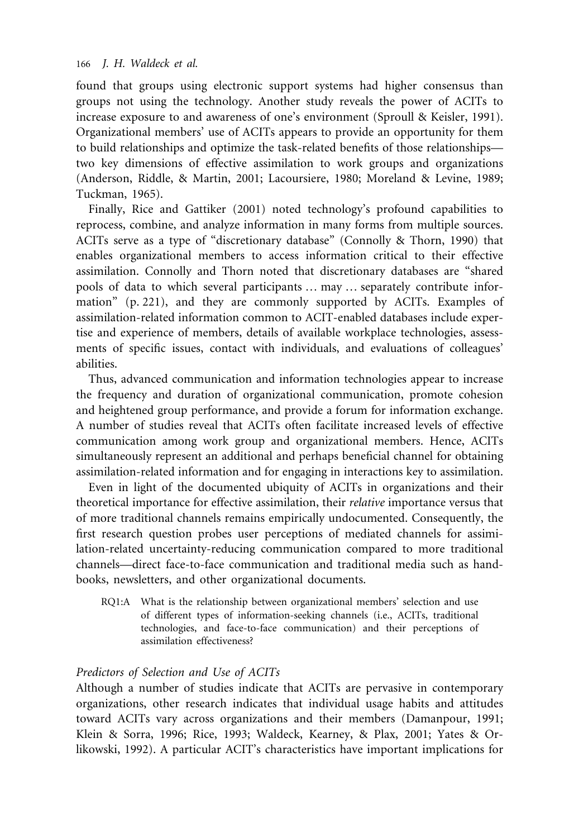found that groups using electronic support systems had higher consensus than groups not using the technology. Another study reveals the power of ACITs to increase exposure to and awareness of one's environment (Sproull & Keisler, 1991). Organizational members' use of ACITs appears to provide an opportunity for them to build relationships and optimize the task-related benefits of those relationships two key dimensions of effective assimilation to work groups and organizations (Anderson, Riddle, & Martin, 2001; Lacoursiere, 1980; Moreland & Levine, 1989; Tuckman, 1965).

Finally, Rice and Gattiker (2001) noted technology's profound capabilities to reprocess, combine, and analyze information in many forms from multiple sources. ACITs serve as a type of "discretionary database" (Connolly & Thorn, 1990) that enables organizational members to access information critical to their effective assimilation. Connolly and Thorn noted that discretionary databases are "shared pools of data to which several participants … may … separately contribute information" (p. 221), and they are commonly supported by ACITs. Examples of assimilation-related information common to ACIT-enabled databases include expertise and experience of members, details of available workplace technologies, assessments of specific issues, contact with individuals, and evaluations of colleagues' abilities.

Thus, advanced communication and information technologies appear to increase the frequency and duration of organizational communication, promote cohesion and heightened group performance, and provide a forum for information exchange. A number of studies reveal that ACITs often facilitate increased levels of effective communication among work group and organizational members. Hence, ACITs simultaneously represent an additional and perhaps beneficial channel for obtaining assimilation-related information and for engaging in interactions key to assimilation.

Even in light of the documented ubiquity of ACITs in organizations and their theoretical importance for effective assimilation, their *relative* importance versus that of more traditional channels remains empirically undocumented. Consequently, the first research question probes user perceptions of mediated channels for assimilation-related uncertainty-reducing communication compared to more traditional channels—direct face-to-face communication and traditional media such as handbooks, newsletters, and other organizational documents.

RQ1:A What is the relationship between organizational members' selection and use of different types of information-seeking channels (i.e., ACITs, traditional technologies, and face-to-face communication) and their perceptions of assimilation effectiveness?

# *Predictors of Selection and Use of ACITs*

Although a number of studies indicate that ACITs are pervasive in contemporary organizations, other research indicates that individual usage habits and attitudes toward ACITs vary across organizations and their members (Damanpour, 1991; Klein & Sorra, 1996; Rice, 1993; Waldeck, Kearney, & Plax, 2001; Yates & Orlikowski, 1992). A particular ACIT's characteristics have important implications for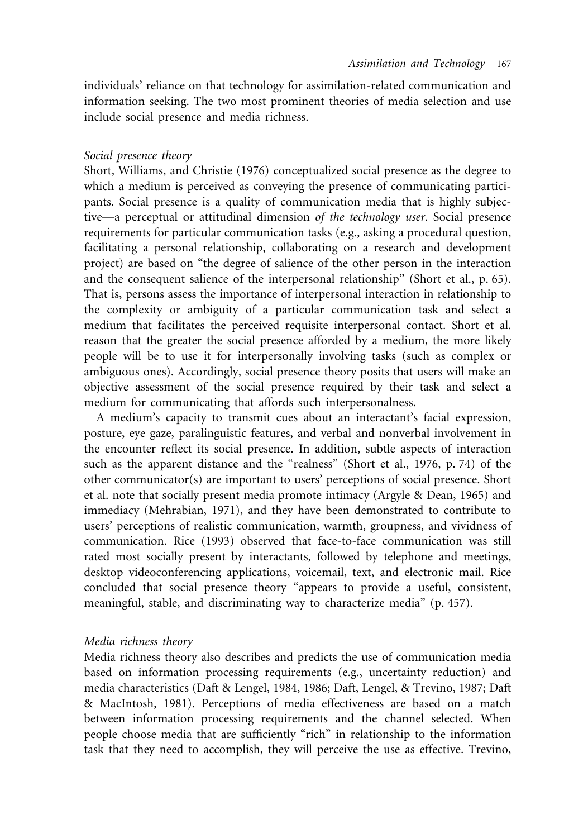individuals' reliance on that technology for assimilation-related communication and information seeking. The two most prominent theories of media selection and use include social presence and media richness.

# *Social presence theory*

Short, Williams, and Christie (1976) conceptualized social presence as the degree to which a medium is perceived as conveying the presence of communicating participants. Social presence is a quality of communication media that is highly subjective—a perceptual or attitudinal dimension *of the technology user*. Social presence requirements for particular communication tasks (e.g., asking a procedural question, facilitating a personal relationship, collaborating on a research and development project) are based on "the degree of salience of the other person in the interaction and the consequent salience of the interpersonal relationship" (Short et al., p. 65). That is, persons assess the importance of interpersonal interaction in relationship to the complexity or ambiguity of a particular communication task and select a medium that facilitates the perceived requisite interpersonal contact. Short et al. reason that the greater the social presence afforded by a medium, the more likely people will be to use it for interpersonally involving tasks (such as complex or ambiguous ones). Accordingly, social presence theory posits that users will make an objective assessment of the social presence required by their task and select a medium for communicating that affords such interpersonalness.

A medium's capacity to transmit cues about an interactant's facial expression, posture, eye gaze, paralinguistic features, and verbal and nonverbal involvement in the encounter reflect its social presence. In addition, subtle aspects of interaction such as the apparent distance and the "realness" (Short et al., 1976, p. 74) of the other communicator(s) are important to users' perceptions of social presence. Short et al. note that socially present media promote intimacy (Argyle & Dean, 1965) and immediacy (Mehrabian, 1971), and they have been demonstrated to contribute to users' perceptions of realistic communication, warmth, groupness, and vividness of communication. Rice (1993) observed that face-to-face communication was still rated most socially present by interactants, followed by telephone and meetings, desktop videoconferencing applications, voicemail, text, and electronic mail. Rice concluded that social presence theory "appears to provide a useful, consistent, meaningful, stable, and discriminating way to characterize media" (p. 457).

#### *Media richness theory*

Media richness theory also describes and predicts the use of communication media based on information processing requirements (e.g., uncertainty reduction) and media characteristics (Daft & Lengel, 1984, 1986; Daft, Lengel, & Trevino, 1987; Daft & MacIntosh, 1981). Perceptions of media effectiveness are based on a match between information processing requirements and the channel selected. When people choose media that are sufficiently "rich" in relationship to the information task that they need to accomplish, they will perceive the use as effective. Trevino,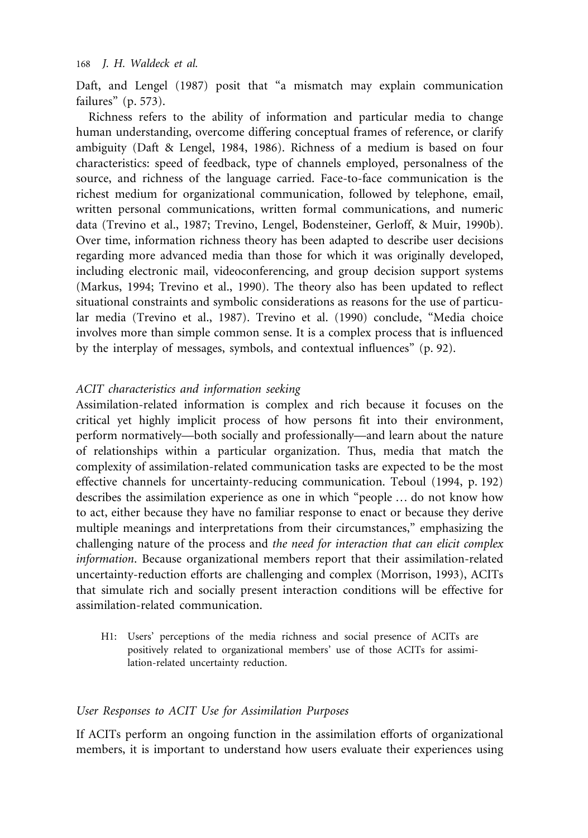Daft, and Lengel (1987) posit that "a mismatch may explain communication failures" (p. 573).

Richness refers to the ability of information and particular media to change human understanding, overcome differing conceptual frames of reference, or clarify ambiguity (Daft & Lengel, 1984, 1986). Richness of a medium is based on four characteristics: speed of feedback, type of channels employed, personalness of the source, and richness of the language carried. Face-to-face communication is the richest medium for organizational communication, followed by telephone, email, written personal communications, written formal communications, and numeric data (Trevino et al., 1987; Trevino, Lengel, Bodensteiner, Gerloff, & Muir, 1990b). Over time, information richness theory has been adapted to describe user decisions regarding more advanced media than those for which it was originally developed, including electronic mail, videoconferencing, and group decision support systems (Markus, 1994; Trevino et al., 1990). The theory also has been updated to reflect situational constraints and symbolic considerations as reasons for the use of particular media (Trevino et al., 1987). Trevino et al. (1990) conclude, "Media choice involves more than simple common sense. It is a complex process that is influenced by the interplay of messages, symbols, and contextual influences" (p. 92).

# *ACIT characteristics and information seeking*

Assimilation-related information is complex and rich because it focuses on the critical yet highly implicit process of how persons fit into their environment, perform normatively—both socially and professionally—and learn about the nature of relationships within a particular organization. Thus, media that match the complexity of assimilation-related communication tasks are expected to be the most effective channels for uncertainty-reducing communication. Teboul (1994, p. 192) describes the assimilation experience as one in which "people … do not know how to act, either because they have no familiar response to enact or because they derive multiple meanings and interpretations from their circumstances," emphasizing the challenging nature of the process and *the need for interaction that can elicit complex information*. Because organizational members report that their assimilation-related uncertainty-reduction efforts are challenging and complex (Morrison, 1993), ACITs that simulate rich and socially present interaction conditions will be effective for assimilation-related communication.

H1: Users' perceptions of the media richness and social presence of ACITs are positively related to organizational members' use of those ACITs for assimilation-related uncertainty reduction.

# *User Responses to ACIT Use for Assimilation Purposes*

If ACITs perform an ongoing function in the assimilation efforts of organizational members, it is important to understand how users evaluate their experiences using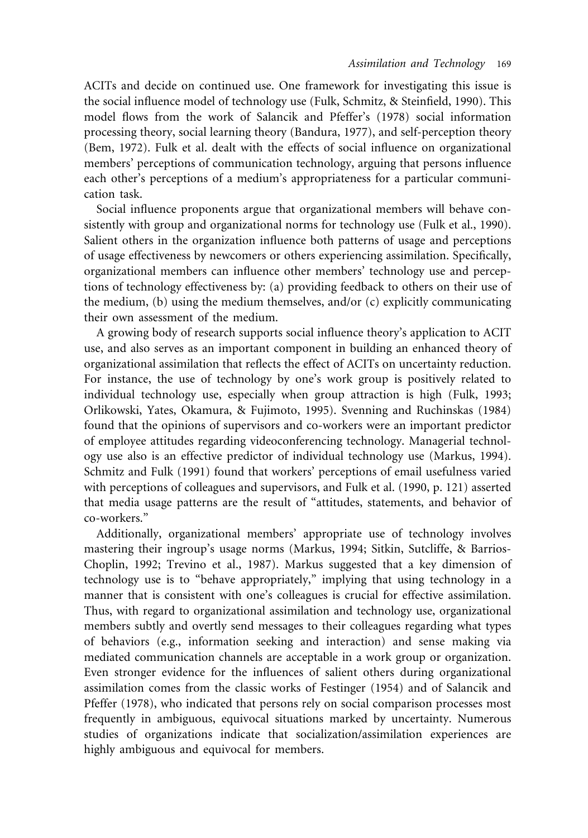ACITs and decide on continued use. One framework for investigating this issue is the social influence model of technology use (Fulk, Schmitz, & Steinfield, 1990). This model flows from the work of Salancik and Pfeffer's (1978) social information processing theory, social learning theory (Bandura, 1977), and self-perception theory (Bem, 1972). Fulk et al. dealt with the effects of social influence on organizational members' perceptions of communication technology, arguing that persons influence each other's perceptions of a medium's appropriateness for a particular communication task.

Social influence proponents argue that organizational members will behave consistently with group and organizational norms for technology use (Fulk et al., 1990). Salient others in the organization influence both patterns of usage and perceptions of usage effectiveness by newcomers or others experiencing assimilation. Specifically, organizational members can influence other members' technology use and perceptions of technology effectiveness by: (a) providing feedback to others on their use of the medium, (b) using the medium themselves, and/or  $(c)$  explicitly communicating their own assessment of the medium.

A growing body of research supports social influence theory's application to ACIT use, and also serves as an important component in building an enhanced theory of organizational assimilation that reflects the effect of ACITs on uncertainty reduction. For instance, the use of technology by one's work group is positively related to individual technology use, especially when group attraction is high (Fulk, 1993; Orlikowski, Yates, Okamura, & Fujimoto, 1995). Svenning and Ruchinskas (1984) found that the opinions of supervisors and co-workers were an important predictor of employee attitudes regarding videoconferencing technology. Managerial technology use also is an effective predictor of individual technology use (Markus, 1994). Schmitz and Fulk (1991) found that workers' perceptions of email usefulness varied with perceptions of colleagues and supervisors, and Fulk et al. (1990, p. 121) asserted that media usage patterns are the result of "attitudes, statements, and behavior of co-workers."

Additionally, organizational members' appropriate use of technology involves mastering their ingroup's usage norms (Markus, 1994; Sitkin, Sutcliffe, & Barrios-Choplin, 1992; Trevino et al., 1987). Markus suggested that a key dimension of technology use is to "behave appropriately," implying that using technology in a manner that is consistent with one's colleagues is crucial for effective assimilation. Thus, with regard to organizational assimilation and technology use, organizational members subtly and overtly send messages to their colleagues regarding what types of behaviors (e.g., information seeking and interaction) and sense making via mediated communication channels are acceptable in a work group or organization. Even stronger evidence for the influences of salient others during organizational assimilation comes from the classic works of Festinger (1954) and of Salancik and Pfeffer (1978), who indicated that persons rely on social comparison processes most frequently in ambiguous, equivocal situations marked by uncertainty. Numerous studies of organizations indicate that socialization/assimilation experiences are highly ambiguous and equivocal for members.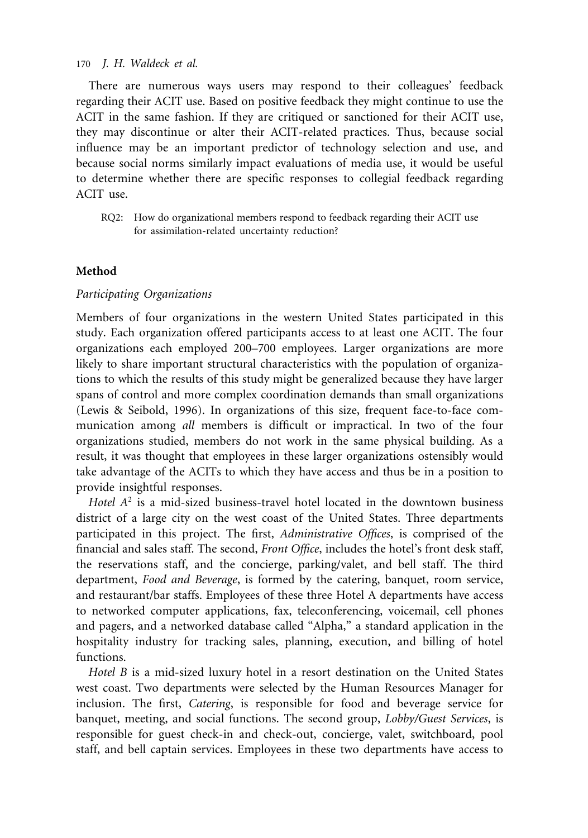There are numerous ways users may respond to their colleagues' feedback regarding their ACIT use. Based on positive feedback they might continue to use the ACIT in the same fashion. If they are critiqued or sanctioned for their ACIT use, they may discontinue or alter their ACIT-related practices. Thus, because social influence may be an important predictor of technology selection and use, and because social norms similarly impact evaluations of media use, it would be useful to determine whether there are specific responses to collegial feedback regarding ACIT use.

RQ2: How do organizational members respond to feedback regarding their ACIT use for assimilation-related uncertainty reduction?

#### **Method**

## *Participating Organizations*

Members of four organizations in the western United States participated in this study. Each organization offered participants access to at least one ACIT. The four organizations each employed 200–700 employees. Larger organizations are more likely to share important structural characteristics with the population of organizations to which the results of this study might be generalized because they have larger spans of control and more complex coordination demands than small organizations (Lewis & Seibold, 1996). In organizations of this size, frequent face-to-face communication among *all* members is difficult or impractical. In two of the four organizations studied, members do not work in the same physical building. As a result, it was thought that employees in these larger organizations ostensibly would take advantage of the ACITs to which they have access and thus be in a position to provide insightful responses.

*Hotel A*<sup>2</sup> is a mid-sized business-travel hotel located in the downtown business district of a large city on the west coast of the United States. Three departments participated in this project. The first, *Administrative Offices*, is comprised of the financial and sales staff. The second, *Front Office*, includes the hotel's front desk staff, the reservations staff, and the concierge, parking/valet, and bell staff. The third department, *Food and Beverage*, is formed by the catering, banquet, room service, and restaurant/bar staffs. Employees of these three Hotel A departments have access to networked computer applications, fax, teleconferencing, voicemail, cell phones and pagers, and a networked database called "Alpha," a standard application in the hospitality industry for tracking sales, planning, execution, and billing of hotel functions.

*Hotel B* is a mid-sized luxury hotel in a resort destination on the United States west coast. Two departments were selected by the Human Resources Manager for inclusion. The first, *Catering*, is responsible for food and beverage service for banquet, meeting, and social functions. The second group, *Lobby/Guest Services*, is responsible for guest check-in and check-out, concierge, valet, switchboard, pool staff, and bell captain services. Employees in these two departments have access to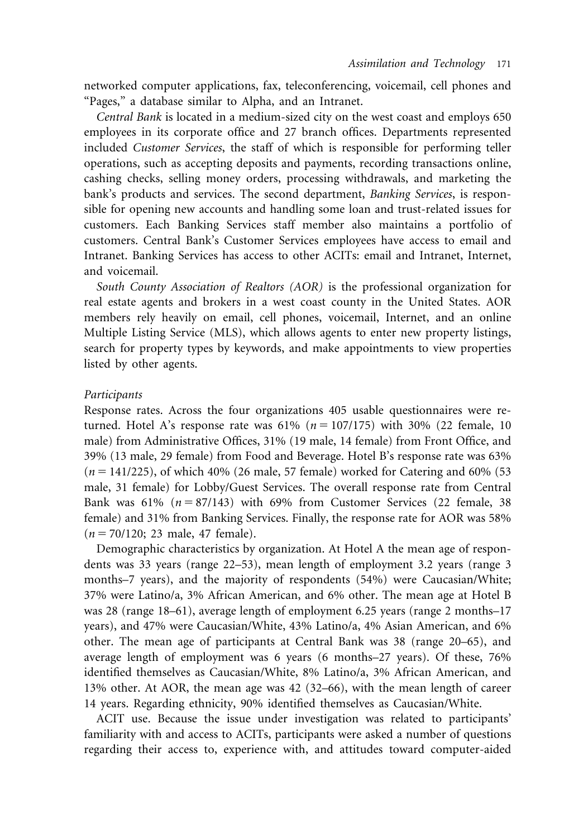networked computer applications, fax, teleconferencing, voicemail, cell phones and "Pages," a database similar to Alpha, and an Intranet.

*Central Bank* is located in a medium-sized city on the west coast and employs 650 employees in its corporate office and 27 branch offices. Departments represented included *Customer Services*, the staff of which is responsible for performing teller operations, such as accepting deposits and payments, recording transactions online, cashing checks, selling money orders, processing withdrawals, and marketing the bank's products and services. The second department, *Banking Services*, is responsible for opening new accounts and handling some loan and trust-related issues for customers. Each Banking Services staff member also maintains a portfolio of customers. Central Bank's Customer Services employees have access to email and Intranet. Banking Services has access to other ACITs: email and Intranet, Internet, and voicemail.

*South County Association of Realtors (AOR)* is the professional organization for real estate agents and brokers in a west coast county in the United States. AOR members rely heavily on email, cell phones, voicemail, Internet, and an online Multiple Listing Service (MLS), which allows agents to enter new property listings, search for property types by keywords, and make appointments to view properties listed by other agents.

#### *Participants*

Response rates. Across the four organizations 405 usable questionnaires were returned. Hotel A's response rate was  $61\%$  ( $n = 107/175$ ) with 30% (22 female, 10 male) from Administrative Offices, 31% (19 male, 14 female) from Front Office, and 39% (13 male, 29 female) from Food and Beverage. Hotel B's response rate was 63%  $(n = 141/225)$ , of which 40% (26 male, 57 female) worked for Catering and 60% (53) male, 31 female) for Lobby/Guest Services. The overall response rate from Central Bank was  $61\%$  ( $n = 87/143$ ) with 69% from Customer Services (22 female, 38) female) and 31% from Banking Services. Finally, the response rate for AOR was 58%  $(n = 70/120; 23$  male, 47 female).

Demographic characteristics by organization. At Hotel A the mean age of respondents was 33 years (range 22–53), mean length of employment 3.2 years (range 3 months–7 years), and the majority of respondents (54%) were Caucasian/White; 37% were Latino/a, 3% African American, and 6% other. The mean age at Hotel B was 28 (range 18–61), average length of employment 6.25 years (range 2 months–17 years), and 47% were Caucasian/White, 43% Latino/a, 4% Asian American, and 6% other. The mean age of participants at Central Bank was 38 (range 20–65), and average length of employment was 6 years (6 months–27 years). Of these, 76% identified themselves as Caucasian/White, 8% Latino/a, 3% African American, and 13% other. At AOR, the mean age was 42 (32–66), with the mean length of career 14 years. Regarding ethnicity, 90% identified themselves as Caucasian/White.

ACIT use. Because the issue under investigation was related to participants' familiarity with and access to ACITs, participants were asked a number of questions regarding their access to, experience with, and attitudes toward computer-aided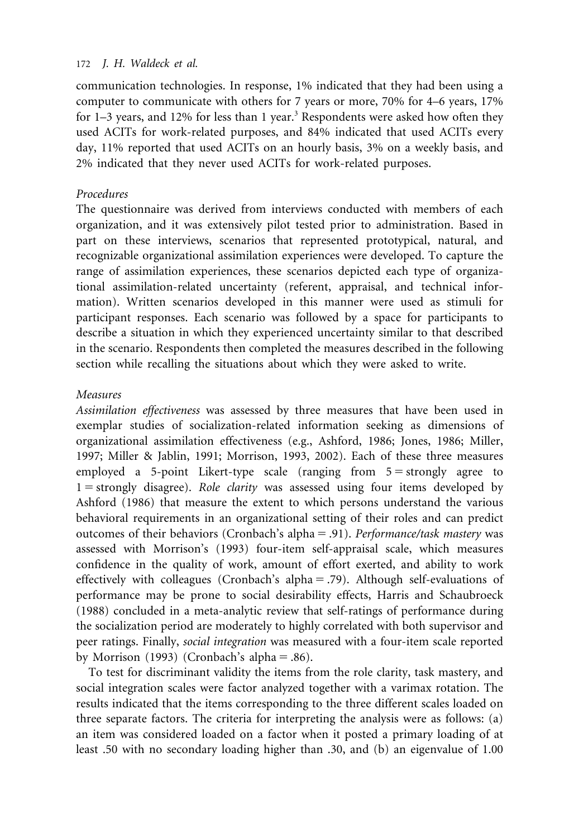communication technologies. In response, 1% indicated that they had been using a computer to communicate with others for 7 years or more, 70% for 4–6 years, 17% for  $1-3$  years, and  $12\%$  for less than 1 year.<sup>3</sup> Respondents were asked how often they used ACITs for work-related purposes, and 84% indicated that used ACITs every day, 11% reported that used ACITs on an hourly basis, 3% on a weekly basis, and 2% indicated that they never used ACITs for work-related purposes.

# *Procedures*

The questionnaire was derived from interviews conducted with members of each organization, and it was extensively pilot tested prior to administration. Based in part on these interviews, scenarios that represented prototypical, natural, and recognizable organizational assimilation experiences were developed. To capture the range of assimilation experiences, these scenarios depicted each type of organizational assimilation-related uncertainty (referent, appraisal, and technical information). Written scenarios developed in this manner were used as stimuli for participant responses. Each scenario was followed by a space for participants to describe a situation in which they experienced uncertainty similar to that described in the scenario. Respondents then completed the measures described in the following section while recalling the situations about which they were asked to write.

# *Measures*

*Assimilation effectiveness* was assessed by three measures that have been used in exemplar studies of socialization-related information seeking as dimensions of organizational assimilation effectiveness (e.g., Ashford, 1986; Jones, 1986; Miller, 1997; Miller & Jablin, 1991; Morrison, 1993, 2002). Each of these three measures employed a 5-point Likert-type scale (ranging from  $5 =$  strongly agree to  $1 =$  strongly disagree). *Role clarity* was assessed using four items developed by Ashford (1986) that measure the extent to which persons understand the various behavioral requirements in an organizational setting of their roles and can predict outcomes of their behaviors (Cronbach's alpha = .91). *Performance/task mastery* was assessed with Morrison's (1993) four-item self-appraisal scale, which measures confidence in the quality of work, amount of effort exerted, and ability to work effectively with colleagues (Cronbach's alpha  $= .79$ ). Although self-evaluations of performance may be prone to social desirability effects, Harris and Schaubroeck (1988) concluded in a meta-analytic review that self-ratings of performance during the socialization period are moderately to highly correlated with both supervisor and peer ratings. Finally, *social integration* was measured with a four-item scale reported by Morrison (1993) (Cronbach's alpha  $= .86$ ).

To test for discriminant validity the items from the role clarity, task mastery, and social integration scales were factor analyzed together with a varimax rotation. The results indicated that the items corresponding to the three different scales loaded on three separate factors. The criteria for interpreting the analysis were as follows: (a) an item was considered loaded on a factor when it posted a primary loading of at least .50 with no secondary loading higher than .30, and (b) an eigenvalue of 1.00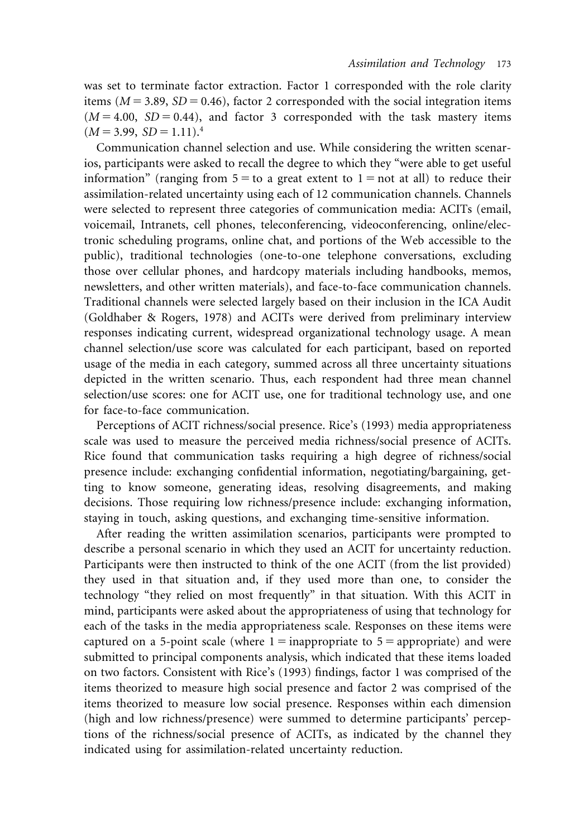was set to terminate factor extraction. Factor 1 corresponded with the role clarity items  $(M = 3.89, SD = 0.46)$ , factor 2 corresponded with the social integration items  $(M = 4.00, SD = 0.44)$ , and factor 3 corresponded with the task mastery items  $(M = 3.99, SD = 1.11)^{4}$ 

Communication channel selection and use. While considering the written scenarios, participants were asked to recall the degree to which they "were able to get useful information" (ranging from  $5 =$  to a great extent to  $1 =$  not at all) to reduce their assimilation-related uncertainty using each of 12 communication channels. Channels were selected to represent three categories of communication media: ACITs (email, voicemail, Intranets, cell phones, teleconferencing, videoconferencing, online/electronic scheduling programs, online chat, and portions of the Web accessible to the public), traditional technologies (one-to-one telephone conversations, excluding those over cellular phones, and hardcopy materials including handbooks, memos, newsletters, and other written materials), and face-to-face communication channels. Traditional channels were selected largely based on their inclusion in the ICA Audit (Goldhaber & Rogers, 1978) and ACITs were derived from preliminary interview responses indicating current, widespread organizational technology usage. A mean channel selection/use score was calculated for each participant, based on reported usage of the media in each category, summed across all three uncertainty situations depicted in the written scenario. Thus, each respondent had three mean channel selection/use scores: one for ACIT use, one for traditional technology use, and one for face-to-face communication.

Perceptions of ACIT richness/social presence. Rice's (1993) media appropriateness scale was used to measure the perceived media richness/social presence of ACITs. Rice found that communication tasks requiring a high degree of richness/social presence include: exchanging confidential information, negotiating/bargaining, getting to know someone, generating ideas, resolving disagreements, and making decisions. Those requiring low richness/presence include: exchanging information, staying in touch, asking questions, and exchanging time-sensitive information.

After reading the written assimilation scenarios, participants were prompted to describe a personal scenario in which they used an ACIT for uncertainty reduction. Participants were then instructed to think of the one ACIT (from the list provided) they used in that situation and, if they used more than one, to consider the technology "they relied on most frequently" in that situation. With this ACIT in mind, participants were asked about the appropriateness of using that technology for each of the tasks in the media appropriateness scale. Responses on these items were captured on a 5-point scale (where  $1 =$  inappropriate to  $5 =$  appropriate) and were submitted to principal components analysis, which indicated that these items loaded on two factors. Consistent with Rice's (1993) findings, factor 1 was comprised of the items theorized to measure high social presence and factor 2 was comprised of the items theorized to measure low social presence. Responses within each dimension (high and low richness/presence) were summed to determine participants' perceptions of the richness/social presence of ACITs, as indicated by the channel they indicated using for assimilation-related uncertainty reduction.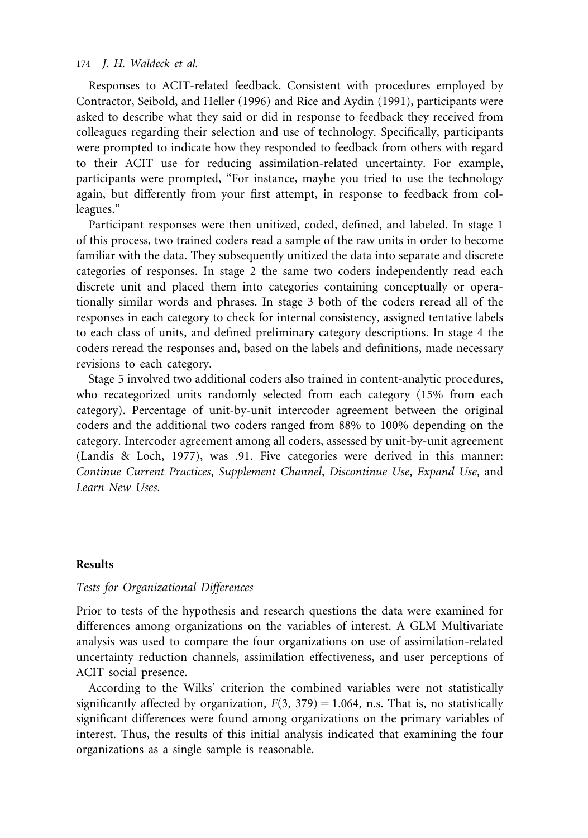Responses to ACIT-related feedback. Consistent with procedures employed by Contractor, Seibold, and Heller (1996) and Rice and Aydin (1991), participants were asked to describe what they said or did in response to feedback they received from colleagues regarding their selection and use of technology. Specifically, participants were prompted to indicate how they responded to feedback from others with regard to their ACIT use for reducing assimilation-related uncertainty. For example, participants were prompted, "For instance, maybe you tried to use the technology again, but differently from your first attempt, in response to feedback from colleagues."

Participant responses were then unitized, coded, defined, and labeled. In stage 1 of this process, two trained coders read a sample of the raw units in order to become familiar with the data. They subsequently unitized the data into separate and discrete categories of responses. In stage 2 the same two coders independently read each discrete unit and placed them into categories containing conceptually or operationally similar words and phrases. In stage 3 both of the coders reread all of the responses in each category to check for internal consistency, assigned tentative labels to each class of units, and defined preliminary category descriptions. In stage 4 the coders reread the responses and, based on the labels and definitions, made necessary revisions to each category.

Stage 5 involved two additional coders also trained in content-analytic procedures, who recategorized units randomly selected from each category (15% from each category). Percentage of unit-by-unit intercoder agreement between the original coders and the additional two coders ranged from 88% to 100% depending on the category. Intercoder agreement among all coders, assessed by unit-by-unit agreement (Landis & Loch, 1977), was .91. Five categories were derived in this manner: *Continue Current Practices*, *Supplement Channel*, *Discontinue Use*, *Expand Use*, and *Learn New Uses*.

# **Results**

# *Tests for Organizational Differences*

Prior to tests of the hypothesis and research questions the data were examined for differences among organizations on the variables of interest. A GLM Multivariate analysis was used to compare the four organizations on use of assimilation-related uncertainty reduction channels, assimilation effectiveness, and user perceptions of ACIT social presence.

According to the Wilks' criterion the combined variables were not statistically significantly affected by organization,  $F(3, 379) = 1.064$ , n.s. That is, no statistically significant differences were found among organizations on the primary variables of interest. Thus, the results of this initial analysis indicated that examining the four organizations as a single sample is reasonable.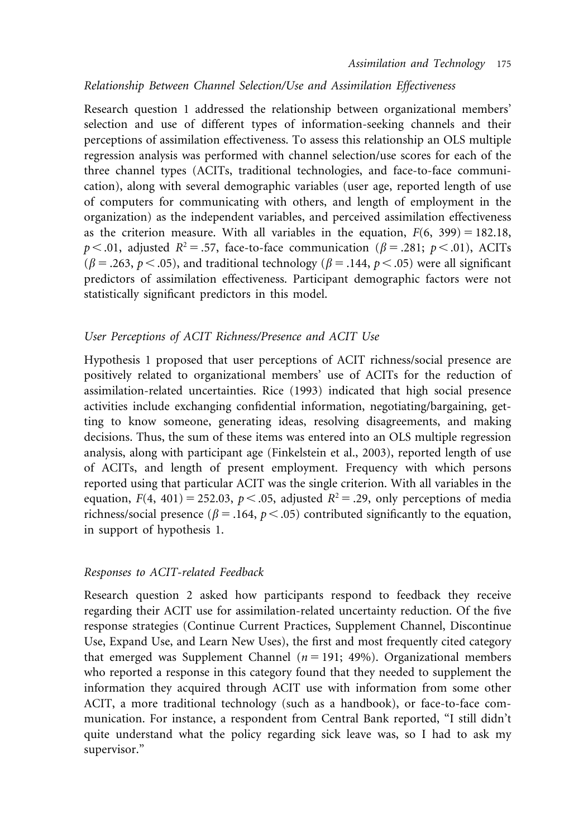# *Relationship Between Channel Selection/Use and Assimilation Effectiveness*

Research question 1 addressed the relationship between organizational members' selection and use of different types of information-seeking channels and their perceptions of assimilation effectiveness. To assess this relationship an OLS multiple regression analysis was performed with channel selection/use scores for each of the three channel types (ACITs, traditional technologies, and face-to-face communication), along with several demographic variables (user age, reported length of use of computers for communicating with others, and length of employment in the organization) as the independent variables, and perceived assimilation effectiveness as the criterion measure. With all variables in the equation,  $F(6, 399) = 182.18$ ,  $p < .01$ , adjusted  $R^2 = .57$ , face-to-face communication ( $\beta = .281; p < .01$ ), ACITs  $(\beta = .263, p < .05)$ , and traditional technology ( $\beta = .144, p < .05$ ) were all significant predictors of assimilation effectiveness. Participant demographic factors were not statistically significant predictors in this model.

## *User Perceptions of ACIT Richness/Presence and ACIT Use*

Hypothesis 1 proposed that user perceptions of ACIT richness/social presence are positively related to organizational members' use of ACITs for the reduction of assimilation-related uncertainties. Rice (1993) indicated that high social presence activities include exchanging confidential information, negotiating/bargaining, getting to know someone, generating ideas, resolving disagreements, and making decisions. Thus, the sum of these items was entered into an OLS multiple regression analysis, along with participant age (Finkelstein et al., 2003), reported length of use of ACITs, and length of present employment. Frequency with which persons reported using that particular ACIT was the single criterion. With all variables in the equation,  $F(4, 401) = 252.03$ ,  $p < .05$ , adjusted  $R^2 = .29$ , only perceptions of media richness/social presence ( $\beta = 0.164$ ,  $p < 0.05$ ) contributed significantly to the equation, in support of hypothesis 1.

#### *Responses to ACIT-related Feedback*

Research question 2 asked how participants respond to feedback they receive regarding their ACIT use for assimilation-related uncertainty reduction. Of the five response strategies (Continue Current Practices, Supplement Channel, Discontinue Use, Expand Use, and Learn New Uses), the first and most frequently cited category that emerged was Supplement Channel  $(n = 191; 49\%)$ . Organizational members who reported a response in this category found that they needed to supplement the information they acquired through ACIT use with information from some other ACIT, a more traditional technology (such as a handbook), or face-to-face communication. For instance, a respondent from Central Bank reported, "I still didn't quite understand what the policy regarding sick leave was, so I had to ask my supervisor."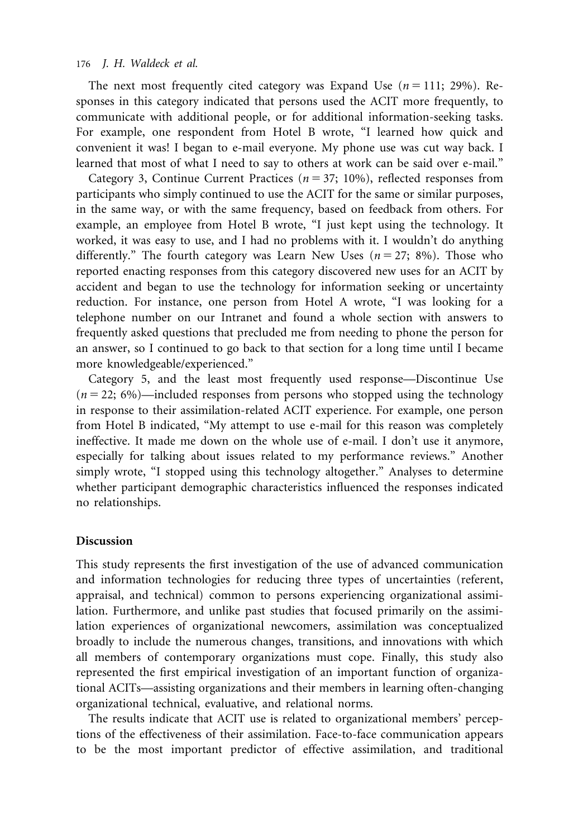The next most frequently cited category was Expand Use  $(n = 111; 29\%)$ . Responses in this category indicated that persons used the ACIT more frequently, to communicate with additional people, or for additional information-seeking tasks. For example, one respondent from Hotel B wrote, "I learned how quick and convenient it was! I began to e-mail everyone. My phone use was cut way back. I learned that most of what I need to say to others at work can be said over e-mail."

Category 3, Continue Current Practices ( $n = 37$ ; 10%), reflected responses from participants who simply continued to use the ACIT for the same or similar purposes, in the same way, or with the same frequency, based on feedback from others. For example, an employee from Hotel B wrote, "I just kept using the technology. It worked, it was easy to use, and I had no problems with it. I wouldn't do anything differently." The fourth category was Learn New Uses  $(n = 27; 8\%)$ . Those who reported enacting responses from this category discovered new uses for an ACIT by accident and began to use the technology for information seeking or uncertainty reduction. For instance, one person from Hotel A wrote, "I was looking for a telephone number on our Intranet and found a whole section with answers to frequently asked questions that precluded me from needing to phone the person for an answer, so I continued to go back to that section for a long time until I became more knowledgeable/experienced."

Category 5, and the least most frequently used response—Discontinue Use  $(n = 22; 6\%)$ —included responses from persons who stopped using the technology in response to their assimilation-related ACIT experience. For example, one person from Hotel B indicated, "My attempt to use e-mail for this reason was completely ineffective. It made me down on the whole use of e-mail. I don't use it anymore, especially for talking about issues related to my performance reviews." Another simply wrote, "I stopped using this technology altogether." Analyses to determine whether participant demographic characteristics influenced the responses indicated no relationships.

## **Discussion**

This study represents the first investigation of the use of advanced communication and information technologies for reducing three types of uncertainties (referent, appraisal, and technical) common to persons experiencing organizational assimilation. Furthermore, and unlike past studies that focused primarily on the assimilation experiences of organizational newcomers, assimilation was conceptualized broadly to include the numerous changes, transitions, and innovations with which all members of contemporary organizations must cope. Finally, this study also represented the first empirical investigation of an important function of organizational ACITs—assisting organizations and their members in learning often-changing organizational technical, evaluative, and relational norms.

The results indicate that ACIT use is related to organizational members' perceptions of the effectiveness of their assimilation. Face-to-face communication appears to be the most important predictor of effective assimilation, and traditional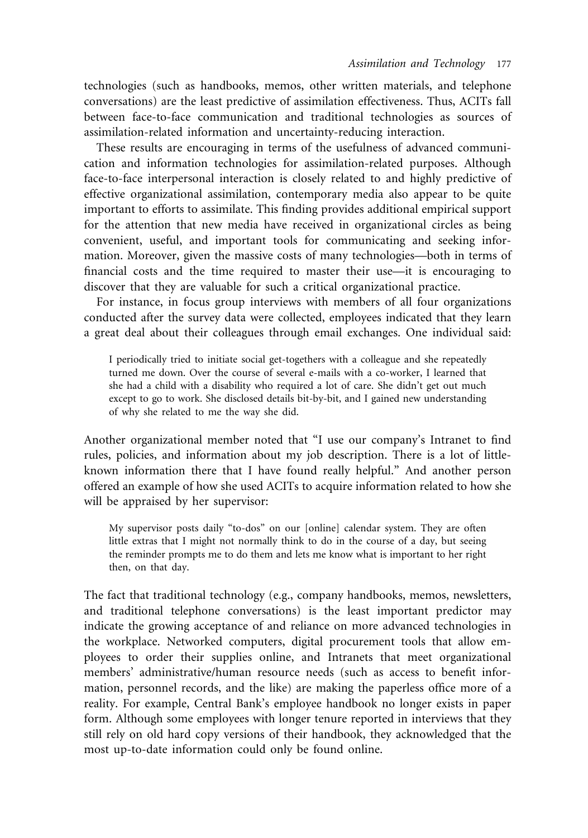technologies (such as handbooks, memos, other written materials, and telephone conversations) are the least predictive of assimilation effectiveness. Thus, ACITs fall between face-to-face communication and traditional technologies as sources of assimilation-related information and uncertainty-reducing interaction.

These results are encouraging in terms of the usefulness of advanced communication and information technologies for assimilation-related purposes. Although face-to-face interpersonal interaction is closely related to and highly predictive of effective organizational assimilation, contemporary media also appear to be quite important to efforts to assimilate. This finding provides additional empirical support for the attention that new media have received in organizational circles as being convenient, useful, and important tools for communicating and seeking information. Moreover, given the massive costs of many technologies—both in terms of financial costs and the time required to master their use—it is encouraging to discover that they are valuable for such a critical organizational practice.

For instance, in focus group interviews with members of all four organizations conducted after the survey data were collected, employees indicated that they learn a great deal about their colleagues through email exchanges. One individual said:

I periodically tried to initiate social get-togethers with a colleague and she repeatedly turned me down. Over the course of several e-mails with a co-worker, I learned that she had a child with a disability who required a lot of care. She didn't get out much except to go to work. She disclosed details bit-by-bit, and I gained new understanding of why she related to me the way she did.

Another organizational member noted that "I use our company's Intranet to find rules, policies, and information about my job description. There is a lot of littleknown information there that I have found really helpful." And another person offered an example of how she used ACITs to acquire information related to how she will be appraised by her supervisor:

My supervisor posts daily "to-dos" on our [online] calendar system. They are often little extras that I might not normally think to do in the course of a day, but seeing the reminder prompts me to do them and lets me know what is important to her right then, on that day.

The fact that traditional technology (e.g., company handbooks, memos, newsletters, and traditional telephone conversations) is the least important predictor may indicate the growing acceptance of and reliance on more advanced technologies in the workplace. Networked computers, digital procurement tools that allow employees to order their supplies online, and Intranets that meet organizational members' administrative/human resource needs (such as access to benefit information, personnel records, and the like) are making the paperless office more of a reality. For example, Central Bank's employee handbook no longer exists in paper form. Although some employees with longer tenure reported in interviews that they still rely on old hard copy versions of their handbook, they acknowledged that the most up-to-date information could only be found online.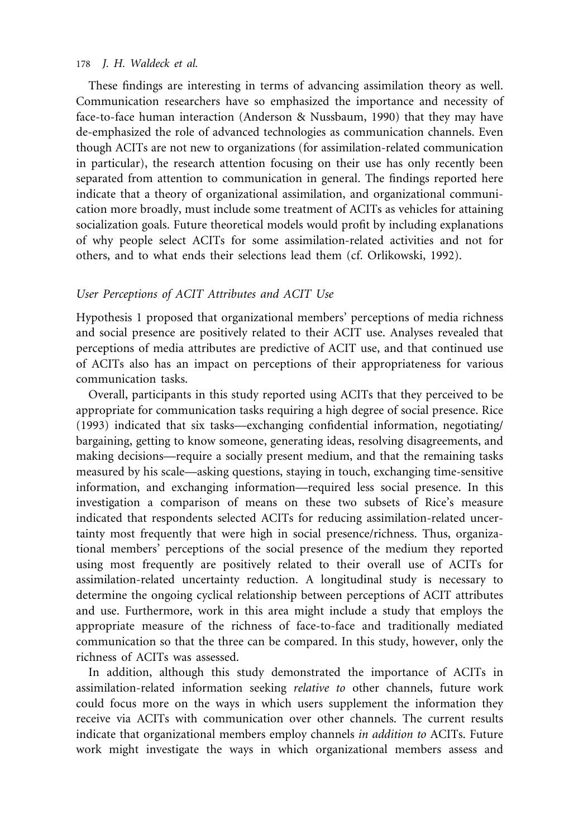These findings are interesting in terms of advancing assimilation theory as well. Communication researchers have so emphasized the importance and necessity of face-to-face human interaction (Anderson & Nussbaum, 1990) that they may have de-emphasized the role of advanced technologies as communication channels. Even though ACITs are not new to organizations (for assimilation-related communication in particular), the research attention focusing on their use has only recently been separated from attention to communication in general. The findings reported here indicate that a theory of organizational assimilation, and organizational communication more broadly, must include some treatment of ACITs as vehicles for attaining socialization goals. Future theoretical models would profit by including explanations of why people select ACITs for some assimilation-related activities and not for others, and to what ends their selections lead them (cf. Orlikowski, 1992).

# *User Perceptions of ACIT Attributes and ACIT Use*

Hypothesis 1 proposed that organizational members' perceptions of media richness and social presence are positively related to their ACIT use. Analyses revealed that perceptions of media attributes are predictive of ACIT use, and that continued use of ACITs also has an impact on perceptions of their appropriateness for various communication tasks.

Overall, participants in this study reported using ACITs that they perceived to be appropriate for communication tasks requiring a high degree of social presence. Rice (1993) indicated that six tasks—exchanging confidential information, negotiating/ bargaining, getting to know someone, generating ideas, resolving disagreements, and making decisions—require a socially present medium, and that the remaining tasks measured by his scale—asking questions, staying in touch, exchanging time-sensitive information, and exchanging information—required less social presence. In this investigation a comparison of means on these two subsets of Rice's measure indicated that respondents selected ACITs for reducing assimilation-related uncertainty most frequently that were high in social presence/richness. Thus, organizational members' perceptions of the social presence of the medium they reported using most frequently are positively related to their overall use of ACITs for assimilation-related uncertainty reduction. A longitudinal study is necessary to determine the ongoing cyclical relationship between perceptions of ACIT attributes and use. Furthermore, work in this area might include a study that employs the appropriate measure of the richness of face-to-face and traditionally mediated communication so that the three can be compared. In this study, however, only the richness of ACITs was assessed.

In addition, although this study demonstrated the importance of ACITs in assimilation-related information seeking *relative to* other channels, future work could focus more on the ways in which users supplement the information they receive via ACITs with communication over other channels. The current results indicate that organizational members employ channels *in addition to* ACITs. Future work might investigate the ways in which organizational members assess and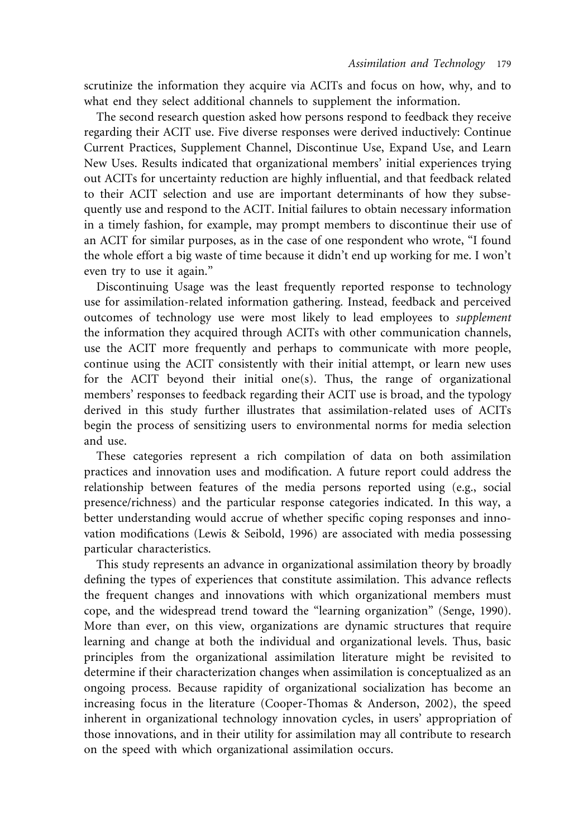scrutinize the information they acquire via ACITs and focus on how, why, and to what end they select additional channels to supplement the information.

The second research question asked how persons respond to feedback they receive regarding their ACIT use. Five diverse responses were derived inductively: Continue Current Practices, Supplement Channel, Discontinue Use, Expand Use, and Learn New Uses. Results indicated that organizational members' initial experiences trying out ACITs for uncertainty reduction are highly influential, and that feedback related to their ACIT selection and use are important determinants of how they subsequently use and respond to the ACIT. Initial failures to obtain necessary information in a timely fashion, for example, may prompt members to discontinue their use of an ACIT for similar purposes, as in the case of one respondent who wrote, "I found the whole effort a big waste of time because it didn't end up working for me. I won't even try to use it again."

Discontinuing Usage was the least frequently reported response to technology use for assimilation-related information gathering. Instead, feedback and perceived outcomes of technology use were most likely to lead employees to *supplement* the information they acquired through ACITs with other communication channels, use the ACIT more frequently and perhaps to communicate with more people, continue using the ACIT consistently with their initial attempt, or learn new uses for the ACIT beyond their initial one(s). Thus, the range of organizational members' responses to feedback regarding their ACIT use is broad, and the typology derived in this study further illustrates that assimilation-related uses of ACITs begin the process of sensitizing users to environmental norms for media selection and use.

These categories represent a rich compilation of data on both assimilation practices and innovation uses and modification. A future report could address the relationship between features of the media persons reported using (e.g., social presence/richness) and the particular response categories indicated. In this way, a better understanding would accrue of whether specific coping responses and innovation modifications (Lewis & Seibold, 1996) are associated with media possessing particular characteristics.

This study represents an advance in organizational assimilation theory by broadly defining the types of experiences that constitute assimilation. This advance reflects the frequent changes and innovations with which organizational members must cope, and the widespread trend toward the "learning organization" (Senge, 1990). More than ever, on this view, organizations are dynamic structures that require learning and change at both the individual and organizational levels. Thus, basic principles from the organizational assimilation literature might be revisited to determine if their characterization changes when assimilation is conceptualized as an ongoing process. Because rapidity of organizational socialization has become an increasing focus in the literature (Cooper-Thomas & Anderson, 2002), the speed inherent in organizational technology innovation cycles, in users' appropriation of those innovations, and in their utility for assimilation may all contribute to research on the speed with which organizational assimilation occurs.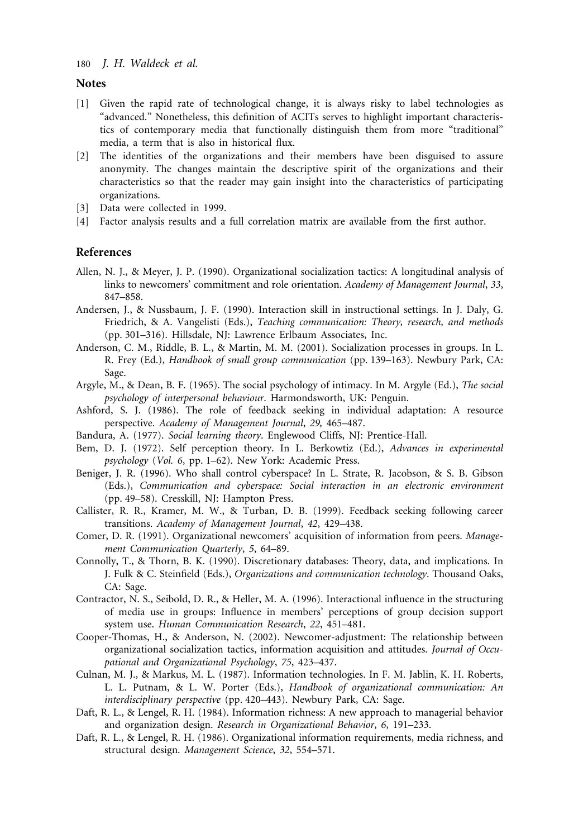#### **Notes**

- [1] Given the rapid rate of technological change, it is always risky to label technologies as "advanced." Nonetheless, this definition of ACITs serves to highlight important characteristics of contemporary media that functionally distinguish them from more "traditional" media, a term that is also in historical flux.
- [2] The identities of the organizations and their members have been disguised to assure anonymity. The changes maintain the descriptive spirit of the organizations and their characteristics so that the reader may gain insight into the characteristics of participating organizations.
- [3] Data were collected in 1999.
- [4] Factor analysis results and a full correlation matrix are available from the first author.

# **References**

- Allen, N. J., & Meyer, J. P. (1990). Organizational socialization tactics: A longitudinal analysis of links to newcomers' commitment and role orientation. *Academy of Management Journal*, *33*, 847–858.
- Andersen, J., & Nussbaum, J. F. (1990). Interaction skill in instructional settings. In J. Daly, G. Friedrich, & A. Vangelisti (Eds.), *Teaching communication: Theory, research, and methods* (pp. 301–316). Hillsdale, NJ: Lawrence Erlbaum Associates, Inc.
- Anderson, C. M., Riddle, B. L., & Martin, M. M. (2001). Socialization processes in groups. In L. R. Frey (Ed.), *Handbook of small group communication* (pp. 139–163). Newbury Park, CA: Sage.
- Argyle, M., & Dean, B. F. (1965). The social psychology of intimacy. In M. Argyle (Ed.), *The social psychology of interpersonal behaviour*. Harmondsworth, UK: Penguin.
- Ashford, S. J. (1986). The role of feedback seeking in individual adaptation: A resource perspective. *Academy of Management Journal*, *29,* 465–487.
- Bandura, A. (1977). *Social learning theory*. Englewood Cliffs, NJ: Prentice-Hall.
- Bem, D. J. (1972). Self perception theory. In L. Berkowtiz (Ed.), *Advances in experimental psychology* (*Vol. 6*, pp. 1–62). New York: Academic Press.
- Beniger, J. R. (1996). Who shall control cyberspace? In L. Strate, R. Jacobson, & S. B. Gibson (Eds.), *Communication and cyberspace: Social interaction in an electronic environment* (pp. 49–58). Cresskill, NJ: Hampton Press.
- Callister, R. R., Kramer, M. W., & Turban, D. B. (1999). Feedback seeking following career transitions. *Academy of Management Journal*, *42*, 429–438.
- Comer, D. R. (1991). Organizational newcomers' acquisition of information from peers. *Management Communication Quarterly*, *5*, 64–89.
- Connolly, T., & Thorn, B. K. (1990). Discretionary databases: Theory, data, and implications. In J. Fulk & C. Steinfield (Eds.), *Organizations and communication technology*. Thousand Oaks, CA: Sage.
- Contractor, N. S., Seibold, D. R., & Heller, M. A. (1996). Interactional influence in the structuring of media use in groups: Influence in members' perceptions of group decision support system use. *Human Communication Research*, *22*, 451–481.
- Cooper-Thomas, H., & Anderson, N. (2002). Newcomer-adjustment: The relationship between organizational socialization tactics, information acquisition and attitudes. *Journal of Occupational and Organizational Psychology*, *75*, 423–437.
- Culnan, M. J., & Markus, M. L. (1987). Information technologies. In F. M. Jablin, K. H. Roberts, L. L. Putnam, & L. W. Porter (Eds.), *Handbook of organizational communication: An interdisciplinary perspective* (pp. 420–443). Newbury Park, CA: Sage.
- Daft, R. L., & Lengel, R. H. (1984). Information richness: A new approach to managerial behavior and organization design. *Research in Organizational Behavior*, *6*, 191–233.
- Daft, R. L., & Lengel, R. H. (1986). Organizational information requirements, media richness, and structural design. *Management Science*, *32*, 554–571.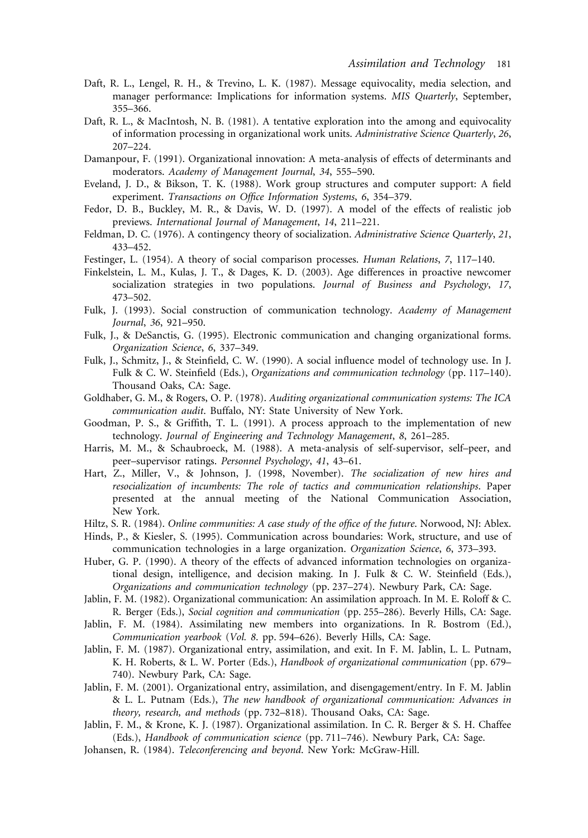- Daft, R. L., Lengel, R. H., & Trevino, L. K. (1987). Message equivocality, media selection, and manager performance: Implications for information systems. *MIS Quarterly*, September, 355–366.
- Daft, R. L., & MacIntosh, N. B. (1981). A tentative exploration into the among and equivocality of information processing in organizational work units. *Administrative Science Quarterly*, *26*, 207–224.
- Damanpour, F. (1991). Organizational innovation: A meta-analysis of effects of determinants and moderators. *Academy of Management Journal*, *34*, 555–590.
- Eveland, J. D., & Bikson, T. K. (1988). Work group structures and computer support: A field experiment. *Transactions on Office Information Systems*, *6*, 354–379.
- Fedor, D. B., Buckley, M. R., & Davis, W. D. (1997). A model of the effects of realistic job previews. *International Journal of Management*, *14*, 211–221.
- Feldman, D. C. (1976). A contingency theory of socialization. *Administrative Science Quarterly*, *21*, 433–452.
- Festinger, L. (1954). A theory of social comparison processes. *Human Relations*, *7*, 117–140.
- Finkelstein, L. M., Kulas, J. T., & Dages, K. D. (2003). Age differences in proactive newcomer socialization strategies in two populations. *Journal of Business and Psychology*, *17*, 473–502.
- Fulk, J. (1993). Social construction of communication technology. *Academy of Management Journal*, *36*, 921–950.
- Fulk, J., & DeSanctis, G. (1995). Electronic communication and changing organizational forms. *Organization Science*, *6*, 337–349.
- Fulk, J., Schmitz, J., & Steinfield, C. W. (1990). A social influence model of technology use. In J. Fulk & C. W. Steinfield (Eds.), *Organizations and communication technology* (pp. 117–140). Thousand Oaks, CA: Sage.
- Goldhaber, G. M., & Rogers, O. P. (1978). *Auditing organizational communication systems: The ICA communication audit*. Buffalo, NY: State University of New York.
- Goodman, P. S., & Griffith, T. L. (1991). A process approach to the implementation of new technology. *Journal of Engineering and Technology Management*, *8*, 261–285.
- Harris, M. M., & Schaubroeck, M. (1988). A meta-analysis of self-supervisor, self–peer, and peer–supervisor ratings. *Personnel Psychology*, *41*, 43–61.
- Hart, Z., Miller, V., & Johnson, J. (1998, November). *The socialization of new hires and resocialization of incumbents: The role of tactics and communication relationships*. Paper presented at the annual meeting of the National Communication Association, New York.
- Hiltz, S. R. (1984). *Online communities: A case study of the office of the future*. Norwood, NJ: Ablex.
- Hinds, P., & Kiesler, S. (1995). Communication across boundaries: Work, structure, and use of communication technologies in a large organization. *Organization Science*, *6*, 373–393.
- Huber, G. P. (1990). A theory of the effects of advanced information technologies on organizational design, intelligence, and decision making. In J. Fulk & C. W. Steinfield (Eds.), *Organizations and communication technology* (pp. 237–274). Newbury Park, CA: Sage.
- Jablin, F. M. (1982). Organizational communication: An assimilation approach. In M. E. Roloff & C. R. Berger (Eds.), *Social cognition and communication* (pp. 255–286). Beverly Hills, CA: Sage.
- Jablin, F. M. (1984). Assimilating new members into organizations. In R. Bostrom (Ed.), *Communication yearbook* (*Vol. 8*. pp. 594–626). Beverly Hills, CA: Sage.
- Jablin, F. M. (1987). Organizational entry, assimilation, and exit. In F. M. Jablin, L. L. Putnam, K. H. Roberts, & L. W. Porter (Eds.), *Handbook of organizational communication* (pp. 679– 740). Newbury Park, CA: Sage.
- Jablin, F. M. (2001). Organizational entry, assimilation, and disengagement/entry. In F. M. Jablin & L. L. Putnam (Eds.), *The new handbook of organizational communication: Advances in theory, research, and methods* (pp. 732–818). Thousand Oaks, CA: Sage.
- Jablin, F. M., & Krone, K. J. (1987). Organizational assimilation. In C. R. Berger & S. H. Chaffee (Eds.), *Handbook of communication science* (pp. 711–746). Newbury Park, CA: Sage.
- Johansen, R. (1984). *Teleconferencing and beyond*. New York: McGraw-Hill.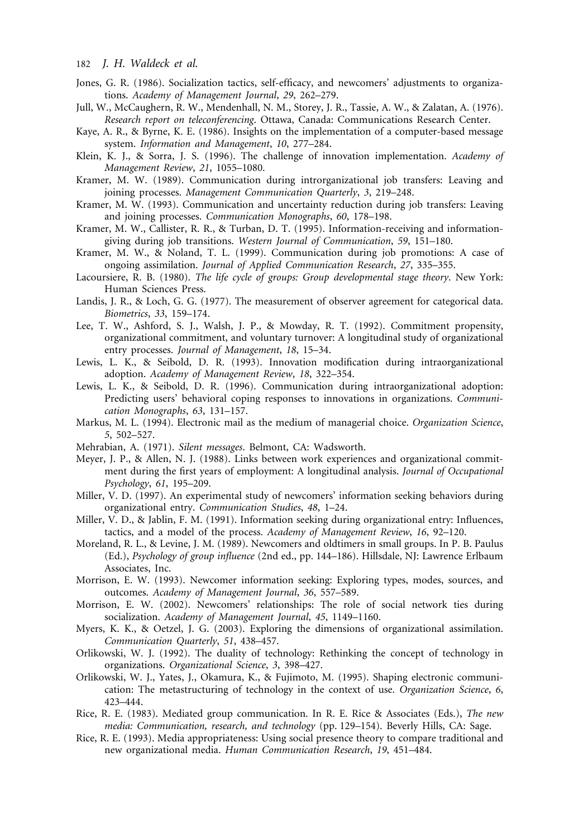- Jones, G. R. (1986). Socialization tactics, self-efficacy, and newcomers' adjustments to organizations. *Academy of Management Journal*, *29*, 262–279.
- Jull, W., McCaughern, R. W., Mendenhall, N. M., Storey, J. R., Tassie, A. W., & Zalatan, A. (1976). *Research report on teleconferencing*. Ottawa, Canada: Communications Research Center.
- Kaye, A. R., & Byrne, K. E. (1986). Insights on the implementation of a computer-based message system. *Information and Management*, *10*, 277–284.
- Klein, K. J., & Sorra, J. S. (1996). The challenge of innovation implementation. *Academy of Management Review*, *21*, 1055–1080.
- Kramer, M. W. (1989). Communication during introrganizational job transfers: Leaving and joining processes. *Management Communication Quarterly*, *3*, 219–248.
- Kramer, M. W. (1993). Communication and uncertainty reduction during job transfers: Leaving and joining processes. *Communication Monographs*, *60*, 178–198.
- Kramer, M. W., Callister, R. R., & Turban, D. T. (1995). Information-receiving and informationgiving during job transitions. *Western Journal of Communication*, *59*, 151–180.
- Kramer, M. W., & Noland, T. L. (1999). Communication during job promotions: A case of ongoing assimilation. *Journal of Applied Communication Research*, *27*, 335–355.
- Lacoursiere, R. B. (1980). *The life cycle of groups: Group developmental stage theory*. New York: Human Sciences Press.
- Landis, J. R., & Loch, G. G. (1977). The measurement of observer agreement for categorical data. *Biometrics*, *33*, 159–174.
- Lee, T. W., Ashford, S. J., Walsh, J. P., & Mowday, R. T. (1992). Commitment propensity, organizational commitment, and voluntary turnover: A longitudinal study of organizational entry processes. *Journal of Management*, *18*, 15–34.
- Lewis, L. K., & Seibold, D. R. (1993). Innovation modification during intraorganizational adoption. *Academy of Management Review*, *18*, 322–354.
- Lewis, L. K., & Seibold, D. R. (1996). Communication during intraorganizational adoption: Predicting users' behavioral coping responses to innovations in organizations. *Communication Monographs*, *63*, 131–157.
- Markus, M. L. (1994). Electronic mail as the medium of managerial choice. *Organization Science*, *5*, 502–527.
- Mehrabian, A. (1971). *Silent messages*. Belmont, CA: Wadsworth.
- Meyer, J. P., & Allen, N. J. (1988). Links between work experiences and organizational commitment during the first years of employment: A longitudinal analysis. *Journal of Occupational Psychology*, *61*, 195–209.
- Miller, V. D. (1997). An experimental study of newcomers' information seeking behaviors during organizational entry. *Communication Studies*, *48*, 1–24.
- Miller, V. D., & Jablin, F. M. (1991). Information seeking during organizational entry: Influences, tactics, and a model of the process. *Academy of Management Review*, *16*, 92–120.
- Moreland, R. L., & Levine, J. M. (1989). Newcomers and oldtimers in small groups. In P. B. Paulus (Ed.), *Psychology of group influence* (2nd ed., pp. 144–186). Hillsdale, NJ: Lawrence Erlbaum Associates, Inc.
- Morrison, E. W. (1993). Newcomer information seeking: Exploring types, modes, sources, and outcomes. *Academy of Management Journal*, *36*, 557–589.
- Morrison, E. W. (2002). Newcomers' relationships: The role of social network ties during socialization. *Academy of Management Journal*, *45*, 1149–1160.
- Myers, K. K., & Oetzel, J. G. (2003). Exploring the dimensions of organizational assimilation. *Communication Quarterly*, *51*, 438–457.
- Orlikowski, W. J. (1992). The duality of technology: Rethinking the concept of technology in organizations. *Organizational Science*, *3*, 398–427.
- Orlikowski, W. J., Yates, J., Okamura, K., & Fujimoto, M. (1995). Shaping electronic communication: The metastructuring of technology in the context of use. *Organization Science*, *6*, 423–444.
- Rice, R. E. (1983). Mediated group communication. In R. E. Rice & Associates (Eds.), *The new media: Communication, research, and technology* (pp. 129–154). Beverly Hills, CA: Sage.
- Rice, R. E. (1993). Media appropriateness: Using social presence theory to compare traditional and new organizational media. *Human Communication Research*, *19*, 451–484.